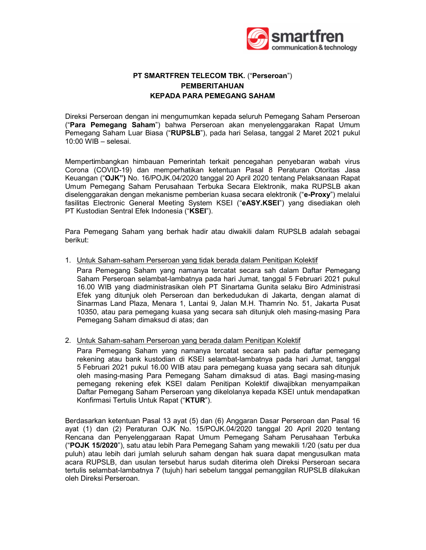

## PT SMARTFREN TELECOM TBK. ("Perseroan") PEMBERITAHUAN KEPADA PARA PEMEGANG SAHAM

Direksi Perseroan dengan ini mengumumkan kepada seluruh Pemegang Saham Perseroan ("Para Pemegang Saham") bahwa Perseroan akan menyelenggarakan Rapat Umum Pemegang Saham Luar Biasa ("RUPSLB"), pada hari Selasa, tanggal 2 Maret 2021 pukul 10:00 WIB – selesai.

Mempertimbangkan himbauan Pemerintah terkait pencegahan penyebaran wabah virus Corona (COVID-19) dan memperhatikan ketentuan Pasal 8 Peraturan Otoritas Jasa Keuangan ("OJK") No. 16/POJK.04/2020 tanggal 20 April 2020 tentang Pelaksanaan Rapat Umum Pemegang Saham Perusahaan Terbuka Secara Elektronik, maka RUPSLB akan diselenggarakan dengan mekanisme pemberian kuasa secara elektronik ("e-Proxy") melalui fasilitas Electronic General Meeting System KSEI ("eASY.KSEI") yang disediakan oleh PT Kustodian Sentral Efek Indonesia ("KSEI").

Para Pemegang Saham yang berhak hadir atau diwakili dalam RUPSLB adalah sebagai berikut:

1. Untuk Saham-saham Perseroan yang tidak berada dalam Penitipan Kolektif

 Para Pemegang Saham yang namanya tercatat secara sah dalam Daftar Pemegang Saham Perseroan selambat-lambatnya pada hari Jumat, tanggal 5 Februari 2021 pukul 16.00 WIB yang diadministrasikan oleh PT Sinartama Gunita selaku Biro Administrasi Efek yang ditunjuk oleh Perseroan dan berkedudukan di Jakarta, dengan alamat di Sinarmas Land Plaza, Menara 1, Lantai 9, Jalan M.H. Thamrin No. 51, Jakarta Pusat 10350, atau para pemegang kuasa yang secara sah ditunjuk oleh masing-masing Para Pemegang Saham dimaksud di atas; dan

2. Untuk Saham-saham Perseroan yang berada dalam Penitipan Kolektif

 Para Pemegang Saham yang namanya tercatat secara sah pada daftar pemegang rekening atau bank kustodian di KSEI selambat-lambatnya pada hari Jumat, tanggal 5 Februari 2021 pukul 16.00 WIB atau para pemegang kuasa yang secara sah ditunjuk oleh masing-masing Para Pemegang Saham dimaksud di atas. Bagi masing-masing pemegang rekening efek KSEI dalam Penitipan Kolektif diwajibkan menyampaikan Daftar Pemegang Saham Perseroan yang dikelolanya kepada KSEI untuk mendapatkan Konfirmasi Tertulis Untuk Rapat ("KTUR").

Berdasarkan ketentuan Pasal 13 ayat (5) dan (6) Anggaran Dasar Perseroan dan Pasal 16 ayat (1) dan (2) Peraturan OJK No. 15/POJK.04/2020 tanggal 20 April 2020 tentang Rencana dan Penyelenggaraan Rapat Umum Pemegang Saham Perusahaan Terbuka ("POJK 15/2020"), satu atau lebih Para Pemegang Saham yang mewakili 1/20 (satu per dua puluh) atau lebih dari jumlah seluruh saham dengan hak suara dapat mengusulkan mata acara RUPSLB, dan usulan tersebut harus sudah diterima oleh Direksi Perseroan secara tertulis selambat-lambatnya 7 (tujuh) hari sebelum tanggal pemanggilan RUPSLB dilakukan oleh Direksi Perseroan.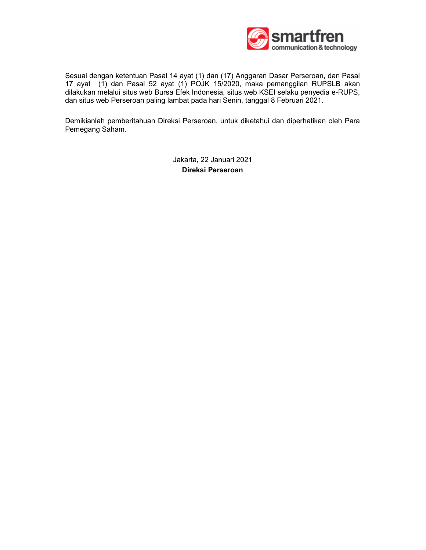

Sesuai dengan ketentuan Pasal 14 ayat (1) dan (17) Anggaran Dasar Perseroan, dan Pasal 17 ayat (1) dan Pasal 52 ayat (1) POJK 15/2020, maka pemanggilan RUPSLB akan dilakukan melalui situs web Bursa Efek Indonesia, situs web KSEI selaku penyedia e-RUPS, dan situs web Perseroan paling lambat pada hari Senin, tanggal 8 Februari 2021.

Demikianlah pemberitahuan Direksi Perseroan, untuk diketahui dan diperhatikan oleh Para Pemegang Saham.

> Jakarta, 22 Januari 2021 Direksi Perseroan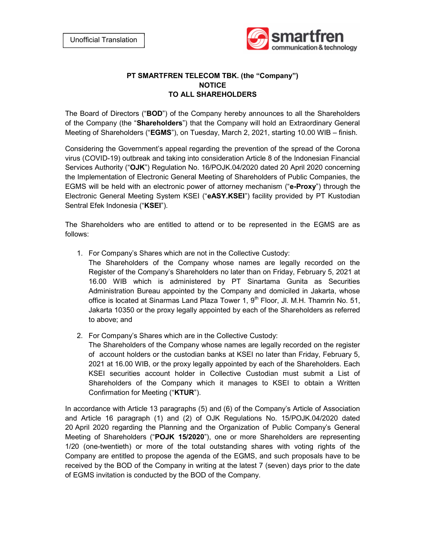

## PT SMARTFREN TELECOM TBK. (the "Company") NOTICE TO ALL SHAREHOLDERS

The Board of Directors ("BOD") of the Company hereby announces to all the Shareholders of the Company (the "Shareholders") that the Company will hold an Extraordinary General Meeting of Shareholders ("**EGMS**"), on Tuesday, March 2, 2021, starting 10.00 WIB – finish.

Considering the Government's appeal regarding the prevention of the spread of the Corona virus (COVID-19) outbreak and taking into consideration Article 8 of the Indonesian Financial Services Authority ("OJK") Regulation No. 16/POJK.04/2020 dated 20 April 2020 concerning the Implementation of Electronic General Meeting of Shareholders of Public Companies, the EGMS will be held with an electronic power of attorney mechanism ("e-**Proxy**") through the Electronic General Meeting System KSEI ("eASY.KSEI") facility provided by PT Kustodian Sentral Efek Indonesia ("KSEI").

The Shareholders who are entitled to attend or to be represented in the EGMS are as follows:

- 1. For Company's Shares which are not in the Collective Custody:
	- The Shareholders of the Company whose names are legally recorded on the Register of the Company's Shareholders no later than on Friday, February 5, 2021 at 16.00 WIB which is administered by PT Sinartama Gunita as Securities Administration Bureau appointed by the Company and domiciled in Jakarta, whose office is located at Sinarmas Land Plaza Tower 1,  $9<sup>th</sup>$  Floor, Jl. M.H. Thamrin No. 51, Jakarta 10350 or the proxy legally appointed by each of the Shareholders as referred to above; and
- 2. For Company's Shares which are in the Collective Custody:

The Shareholders of the Company whose names are legally recorded on the register of account holders or the custodian banks at KSEI no later than Friday, February 5, 2021 at 16.00 WIB, or the proxy legally appointed by each of the Shareholders. Each KSEI securities account holder in Collective Custodian must submit a List of Shareholders of the Company which it manages to KSEI to obtain a Written Confirmation for Meeting ("KTUR").

In accordance with Article 13 paragraphs (5) and (6) of the Company's Article of Association and Article 16 paragraph (1) and (2) of OJK Regulations No. 15/POJK.04/2020 dated 20 April 2020 regarding the Planning and the Organization of Public Company's General Meeting of Shareholders ("POJK 15/2020"), one or more Shareholders are representing 1/20 (one-twentieth) or more of the total outstanding shares with voting rights of the Company are entitled to propose the agenda of the EGMS, and such proposals have to be received by the BOD of the Company in writing at the latest 7 (seven) days prior to the date of EGMS invitation is conducted by the BOD of the Company.